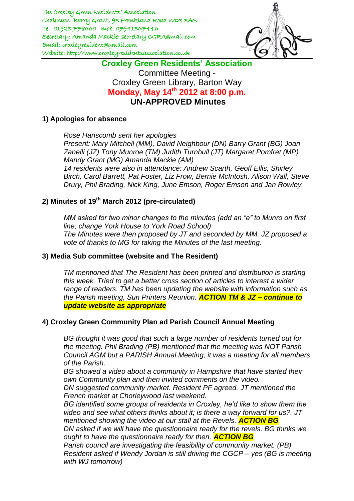

# **Croxley Green Residents' Association** Committee Meeting - Croxley Green Library, Barton Way **Monday, May 14th 2012 at 8:00 p.m. UN-APPROVED Minutes**

## **1) Apologies for absence**

*Rose Hanscomb sent her apologies Present: Mary Mitchell (MM), David Neighbour (DN) Barry Grant (BG) Joan Zanelli (JZ) Tony Munroe (TM) Judith Turnbull (JT) Margaret Pomfret (MP) Mandy Grant (MG) Amanda Mackie (AM) 14 residents were also in attendance: Andrew Scarth, Geoff Ellis, Shirley Birch, Carol Barrett, Pat Foster, Liz Frow, Bernie McIntosh, Alison Wall, Steve Drury, Phil Brading, Nick King, June Emson, Roger Emson and Jan Rowley.* 

# **2) Minutes of 19th March 2012 (pre-circulated)**

*MM asked for two minor changes to the minutes (add an "e" to Munro on first line; change York House to York Road School) The Minutes were then proposed by JT and seconded by MM. JZ proposed a vote of thanks to MG for taking the Minutes of the last meeting.*

## **3) Media Sub committee (website and The Resident)**

*TM mentioned that The Resident has been printed and distribution is starting this week. Tried to get a better cross section of articles to interest a wider range of readers. TM has been updating the website with information such as the Parish meeting, Sun Printers Reunion. ACTION TM & JZ – continue to update website as appropriate*

## **4) Croxley Green Community Plan ad Parish Council Annual Meeting**

*BG thought it was good that such a large number of residents turned out for the meeting. Phil Brading (PB) mentioned that the meeting was NOT Parish Council AGM but a PARISH Annual Meeting; it was a meeting for all members of the Parish.* 

*BG showed a video about a community in Hampshire that have started their own Community plan and then invited comments on the video.*

*DN suggested community market. Resident PF agreed. JT mentioned the French market at Chorleywood last weekend.* 

*BG identified some groups of residents in Croxley, he'd like to show them the video and see what others thinks about it; is there a way forward for us?. JT mentioned showing the video at our stall at the Revels. ACTION BG*

*DN asked if we will have the questionnaire ready for the revels. BG thinks we ought to have the questionnaire ready for then. ACTION BG*

*Parish council are investigating the feasibility of community market. (PB) Resident asked if Wendy Jordan is still driving the CGCP – yes (BG is meeting with WJ tomorrow)*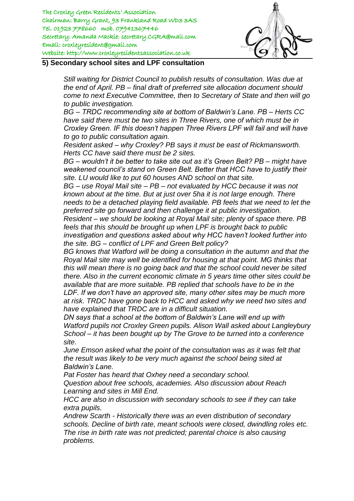

#### **5) Secondary school sites and LPF consultation**

*Still waiting for District Council to publish results of consultation. Was due at the end of April. PB – final draft of preferred site allocation document should come to next Executive Committee, then to Secretary of State and then will go to public investigation.* 

*BG – TRDC recommending site at bottom of Baldwin's Lane. PB – Herts CC have said there must be two sites in Three Rivers, one of which must be in Croxley Green. IF this doesn't happen Three Rivers LPF will fail and will have to go to public consultation again.*

*Resident asked – why Croxley? PB says it must be east of Rickmansworth. Herts CC have said there must be 2 sites.* 

*BG – wouldn't it be better to take site out as it's Green Belt? PB – might have weakened council's stand on Green Belt. Better that HCC have to justify their site. LU would like to put 60 houses AND school on that site.* 

*BG – use Royal Mail site – PB – not evaluated by HCC because it was not known about at the time. But at just over 5ha it is not large enough. There needs to be a detached playing field available. PB feels that we need to let the preferred site go forward and then challenge it at public investigation.* 

*Resident – we should be looking at Royal Mail site; plenty of space there. PB feels that this should be brought up when LPF is brought back to public investigation and questions asked about why HCC haven't looked further into the site. BG – conflict of LPF and Green Belt policy?*

*BG knows that Watford will be doing a consultation in the autumn and that the Royal Mail site may well be identified for housing at that point. MG thinks that this will mean there is no going back and that the school could never be sited there. Also in the current economic climate in 5 years time other sites could be available that are more suitable. PB replied that schools have to be in the LDF. If we don't have an approved site, many other sites may be much more at risk. TRDC have gone back to HCC and asked why we need two sites and* 

*have explained that TRDC are in a difficult situation.* 

*DN says that a school at the bottom of Baldwin's Lane will end up with Watford pupils not Croxley Green pupils. Alison Wall asked about Langleybury School – it has been bought up by The Grove to be turned into a conference site.*

*June Emson asked what the point of the consultation was as it was felt that the result was likely to be very much against the school being sited at Baldwin's Lane.* 

*Pat Foster has heard that Oxhey need a secondary school. Question about free schools, academies. Also discussion about Reach Learning and sites in Mill End.* 

*HCC are also in discussion with secondary schools to see if they can take extra pupils.* 

*Andrew Scarth - Historically there was an even distribution of secondary schools. Decline of birth rate, meant schools were closed, dwindling roles etc. The rise in birth rate was not predicted; parental choice is also causing problems.*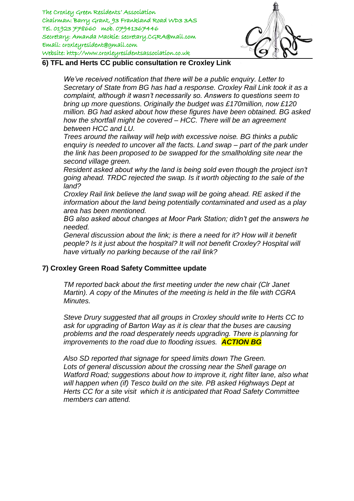

### **6) TFL and Herts CC public consultation re Croxley Link**

*We've received notification that there will be a public enquiry. Letter to Secretary of State from BG has had a response. Croxley Rail Link took it as a complaint, although it wasn't necessarily so. Answers to questions seem to bring up more questions. Originally the budget was £170million, now £120 million. BG had asked about how these figures have been obtained. BG asked how the shortfall might be covered – HCC. There will be an agreement between HCC and LU.* 

*Trees around the railway will help with excessive noise. BG thinks a public enquiry is needed to uncover all the facts. Land swap – part of the park under the link has been proposed to be swapped for the smallholding site near the second village green.* 

*Resident asked about why the land is being sold even though the project isn't going ahead. TRDC rejected the swap. Is it worth objecting to the sale of the land?* 

*Croxley Rail link believe the land swap will be going ahead. RE asked if the information about the land being potentially contaminated and used as a play area has been mentioned.* 

*BG also asked about changes at Moor Park Station; didn't get the answers he needed.* 

*General discussion about the link; is there a need for it? How will it benefit people? Is it just about the hospital? It will not benefit Croxley? Hospital will have virtually no parking because of the rail link?* 

## **7) Croxley Green Road Safety Committee update**

*TM reported back about the first meeting under the new chair (Clr Janet Martin). A copy of the Minutes of the meeting is held in the file with CGRA Minutes.* 

*Steve Drury suggested that all groups in Croxley should write to Herts CC to ask for upgrading of Barton Way as it is clear that the buses are causing problems and the road desperately needs upgrading. There is planning for improvements to the road due to flooding issues. ACTION BG*

*Also SD reported that signage for speed limits down The Green. Lots of general discussion about the crossing near the Shell garage on Watford Road; suggestions about how to improve it, right filter lane, also what will happen when (if) Tesco build on the site. PB asked Highways Dept at Herts CC for a site visit which it is anticipated that Road Safety Committee members can attend.*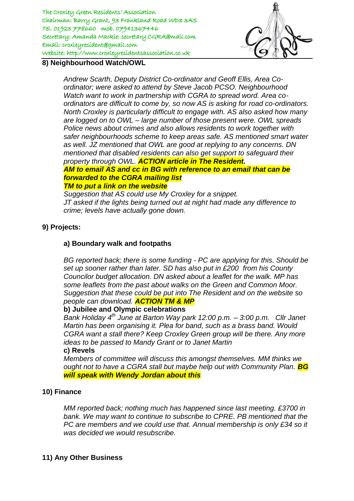

## **8) Neighbourhood Watch/OWL**

*Andrew Scarth, Deputy District Co-ordinator and Geoff Ellis, Area Coordinator; were asked to attend by Steve Jacob PCSO. Neighbourhood Watch want to work in partnership with CGRA to spread word. Area coordinators are difficult to come by, so now AS is asking for road co-ordinators. North Croxley is particularly difficult to engage with. AS also asked how many are logged on to OWL – large number of those present were. OWL spreads Police news about crimes and also allows residents to work together with safer neighbourhoods scheme to keep areas safe. AS mentioned smart water as well. JZ mentioned that OWL are good at replying to any concerns. DN mentioned that disabled residents can also get support to safeguard their property through OWL. ACTION article in The Resident. AM to email AS and cc in BG with reference to an email that can be forwarded to the CGRA mailing list TM to put a link on the website*

*Suggestion that AS could use My Croxley for a snippet. JT asked if the lights being turned out at night had made any difference to crime; levels have actually gone down.* 

## **9) Projects:**

## **a) Boundary walk and footpaths**

*BG reported back; there is some funding - PC are applying for this. Should be set up sooner rather than later. SD has also put in £200 from his County Councilor budget allocation. DN asked about a leaflet for the walk. MP has some leaflets from the past about walks on the Green and Common Moor. Suggestion that these could be put into The Resident and on the website so people can download. ACTION TM & MP*

## **b) Jubilee and Olympic celebrations**

*Bank Holiday 4th June at Barton Way park 12:00 p.m. – 3:00 p.m. Cllr Janet Martin has been organising it. Plea for band, such as a brass band. Would CGRA want a stall there? Keep Croxley Green group will be there. Any more ideas to be passed to Mandy Grant or to Janet Martin*

## **c) Revels**

*Members of committee will discuss this amongst themselves. MM thinks we ought not to have a CGRA stall but maybe help out with Community Plan.* **<b>***BG will speak with Wendy Jordan about this*

## **10) Finance**

*MM reported back; nothing much has happened since last meeting. £3700 in bank. We may want to continue to subscribe to CPRE. PB mentioned that the PC are members and we could use that. Annual membership is only £34 so it was decided we would resubscribe.*

## **11) Any Other Business**